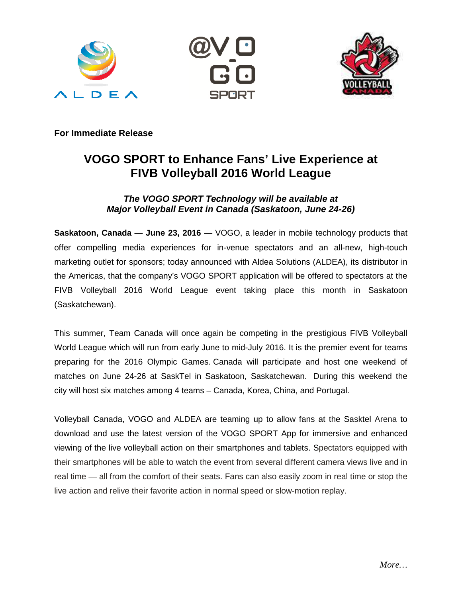





**For Immediate Release** 

# **VOGO SPORT to Enhance Fans' Live Experience at FIVB Volleyball 2016 World League**

# **The VOGO SPORT Technology will be available at Major Volleyball Event in Canada (Saskatoon, June 24-26)**

**Saskatoon, Canada** — **June 23, 2016** — VOGO, a leader in mobile technology products that offer compelling media experiences for in-venue spectators and an all-new, high-touch marketing outlet for sponsors; today announced with Aldea Solutions (ALDEA), its distributor in the Americas, that the company's VOGO SPORT application will be offered to spectators at the FIVB Volleyball 2016 World League event taking place this month in Saskatoon (Saskatchewan).

This summer, Team Canada will once again be competing in the prestigious FIVB Volleyball World League which will run from early June to mid-July 2016. It is the premier event for teams preparing for the 2016 Olympic Games. Canada will participate and host one weekend of matches on June 24-26 at SaskTel in Saskatoon, Saskatchewan. During this weekend the city will host six matches among 4 teams – Canada, Korea, China, and Portugal.

Volleyball Canada, VOGO and ALDEA are teaming up to allow fans at the Sasktel Arena to download and use the latest version of the VOGO SPORT App for immersive and enhanced viewing of the live volleyball action on their smartphones and tablets. Spectators equipped with their smartphones will be able to watch the event from several different camera views live and in real time — all from the comfort of their seats. Fans can also easily zoom in real time or stop the live action and relive their favorite action in normal speed or slow-motion replay.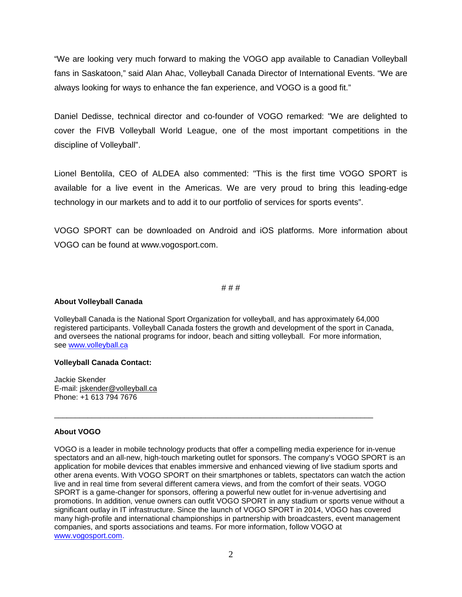"We are looking very much forward to making the VOGO app available to Canadian Volleyball fans in Saskatoon," said Alan Ahac, Volleyball Canada Director of International Events. "We are always looking for ways to enhance the fan experience, and VOGO is a good fit."

Daniel Dedisse, technical director and co-founder of VOGO remarked: "We are delighted to cover the FIVB Volleyball World League, one of the most important competitions in the discipline of Volleyball".

Lionel Bentolila, CEO of ALDEA also commented: "This is the first time VOGO SPORT is available for a live event in the Americas. We are very proud to bring this leading-edge technology in our markets and to add it to our portfolio of services for sports events".

VOGO SPORT can be downloaded on Android and iOS platforms. More information about VOGO can be found at www.vogosport.com.

# # #

# **About Volleyball Canada**

Volleyball Canada is the National Sport Organization for volleyball, and has approximately 64,000 registered participants. Volleyball Canada fosters the growth and development of the sport in Canada, and oversees the national programs for indoor, beach and sitting volleyball. For more information, see www.volleyball.ca

\_\_\_\_\_\_\_\_\_\_\_\_\_\_\_\_\_\_\_\_\_\_\_\_\_\_\_\_\_\_\_\_\_\_\_\_\_\_\_\_\_\_\_\_\_\_\_\_\_\_\_\_\_\_\_\_\_\_\_\_\_\_\_\_\_\_\_\_\_\_\_\_\_\_\_\_

## **Volleyball Canada Contact:**

Jackie Skender E-mail: jskender@volleyball.ca Phone: +1 613 794 7676

## **About VOGO**

VOGO is a leader in mobile technology products that offer a compelling media experience for in-venue spectators and an all-new, high-touch marketing outlet for sponsors. The company's VOGO SPORT is an application for mobile devices that enables immersive and enhanced viewing of live stadium sports and other arena events. With VOGO SPORT on their smartphones or tablets, spectators can watch the action live and in real time from several different camera views, and from the comfort of their seats. VOGO SPORT is a game-changer for sponsors, offering a powerful new outlet for in-venue advertising and promotions. In addition, venue owners can outfit VOGO SPORT in any stadium or sports venue without a significant outlay in IT infrastructure. Since the launch of VOGO SPORT in 2014, VOGO has covered many high-profile and international championships in partnership with broadcasters, event management companies, and sports associations and teams. For more information, follow VOGO at www.vogosport.com.